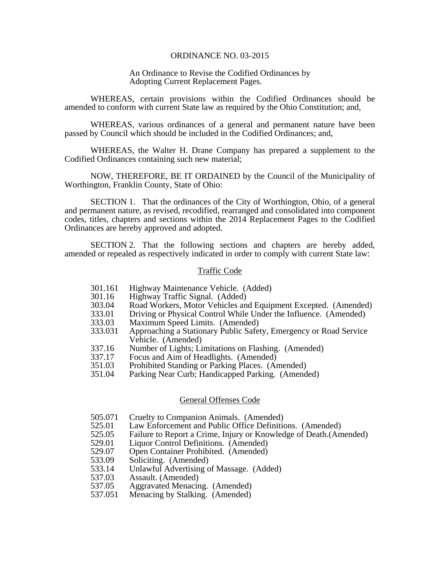#### ORDINANCE NO. 03-2015

### An Ordinance to Revise the Codified Ordinances by Adopting Current Replacement Pages.

 WHEREAS, certain provisions within the Codified Ordinances should be amended to conform with current State law as required by the Ohio Constitution; and,

 WHEREAS, various ordinances of a general and permanent nature have been passed by Council which should be included in the Codified Ordinances; and,

 WHEREAS, the Walter H. Drane Company has prepared a supplement to the Codified Ordinances containing such new material;

NOW, THEREFORE, BE IT ORDAINED by the Council of the Municipality of Worthington, Franklin County, State of Ohio:

 SECTION 1. That the ordinances of the City of Worthington, Ohio, of a general and permanent nature, as revised, recodified, rearranged and consolidated into component codes, titles, chapters and sections within the 2014 Replacement Pages to the Codified Ordinances are hereby approved and adopted.

 SECTION 2. That the following sections and chapters are hereby added, amended or repealed as respectively indicated in order to comply with current State law:

#### Traffic Code

- 301.161 Highway Maintenance Vehicle. (Added)
- 301.16 Highway Traffic Signal. (Added)
- 303.04 Road Workers, Motor Vehicles and Equipment Excepted. (Amended)
- 333.01 Driving or Physical Control While Under the Influence. (Amended)
- 333.03 Maximum Speed Limits. (Amended)
- 333.031 Approaching a Stationary Public Safety, Emergency or Road Service Vehicle. (Amended)
- 337.16 Number of Lights; Limitations on Flashing. (Amended)
- 337.17 Focus and Aim of Headlights. (Amended)
- 351.03 Prohibited Standing or Parking Places. (Amended)
- 351.04 Parking Near Curb; Handicapped Parking. (Amended)

### General Offenses Code

- 505.071 Cruelty to Companion Animals. (Amended)
- 525.01 Law Enforcement and Public Office Definitions. (Amended)
- 525.05 Failure to Report a Crime, Injury or Knowledge of Death.(Amended)<br>529.01 Liauor Control Definitions. (Amended)
- Liquor Control Definitions. (Amended)
- 529.07 Open Container Prohibited. (Amended)
- 533.09 Soliciting. (Amended)
- 533.14 Unlawful Advertising of Massage. (Added)
- 537.03 Assault. (Amended)
- 537.05 Aggravated Menacing. (Amended)
- 537.051 Menacing by Stalking. (Amended)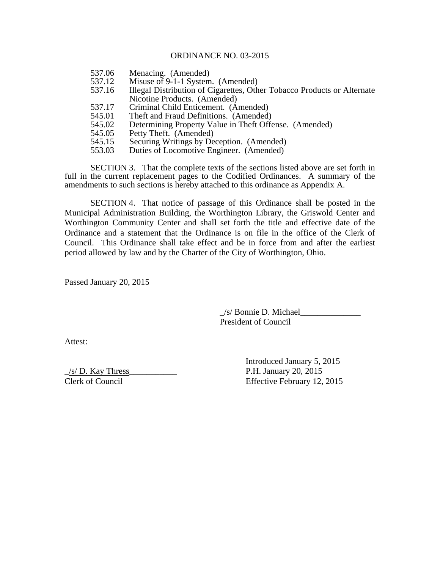## ORDINANCE NO. 03-2015

- 537.06 Menacing. (Amended)
- 537.12 Misuse of 9-1-1 System. (Amended)
- 537.16 Illegal Distribution of Cigarettes, Other Tobacco Products or Alternate Nicotine Products. (Amended)
- 537.17 Criminal Child Enticement. (Amended)<br>545.01 Theft and Fraud Definitions. (Amended)
- Theft and Fraud Definitions. (Amended)
- 545.02 Determining Property Value in Theft Offense. (Amended)
- 545.05 Petty Theft. (Amended)
- 545.15 Securing Writings by Deception. (Amended)
- 553.03 Duties of Locomotive Engineer. (Amended)

 SECTION 3. That the complete texts of the sections listed above are set forth in full in the current replacement pages to the Codified Ordinances. A summary of the amendments to such sections is hereby attached to this ordinance as Appendix A.

 SECTION 4. That notice of passage of this Ordinance shall be posted in the Municipal Administration Building, the Worthington Library, the Griswold Center and Worthington Community Center and shall set forth the title and effective date of the Ordinance and a statement that the Ordinance is on file in the office of the Clerk of Council. This Ordinance shall take effect and be in force from and after the earliest period allowed by law and by the Charter of the City of Worthington, Ohio.

Passed January 20, 2015

 \_/s/ Bonnie D. Michael\_\_\_\_\_\_\_\_\_\_\_\_\_\_ President of Council

Attest:

 $\frac{1}{s}$  D. Kay Thress P.H. January 20, 2015 Clerk of Council Effective February 12, 2015

Introduced January 5, 2015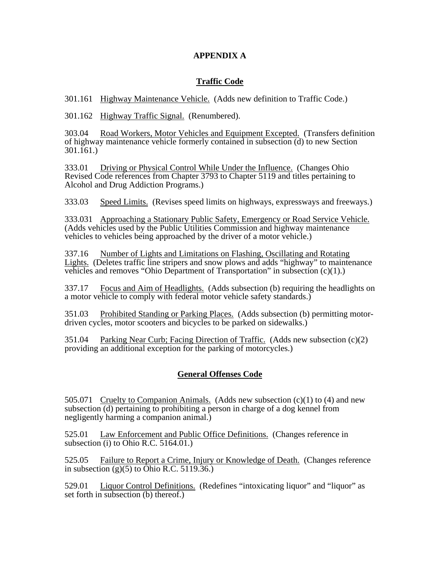## **APPENDIX A**

# **Traffic Code**

301.161 Highway Maintenance Vehicle. (Adds new definition to Traffic Code.)

301.162 Highway Traffic Signal. (Renumbered).

303.04 Road Workers, Motor Vehicles and Equipment Excepted. (Transfers definition of highway maintenance vehicle formerly contained in subsection (d) to new Section  $301.\overline{161}$ .

333.01 Driving or Physical Control While Under the Influence. (Changes Ohio Revised Code references from Chapter 3793 to Chapter 5119 and titles pertaining to Alcohol and Drug Addiction Programs.)

333.03 Speed Limits. (Revises speed limits on highways, expressways and freeways.)

333.031 Approaching a Stationary Public Safety, Emergency or Road Service Vehicle. (Adds vehicles used by the Public Utilities Commission and highway maintenance vehicles to vehicles being approached by the driver of a motor vehicle.)

337.16 Number of Lights and Limitations on Flashing, Oscillating and Rotating Lights. (Deletes traffic line stripers and snow plows and adds "highway" to maintenance vehicles and removes "Ohio Department of Transportation" in subsection  $(c)(1)$ .)

337.17 Focus and Aim of Headlights. (Adds subsection (b) requiring the headlights on a motor vehicle to comply with federal motor vehicle safety standards.)

351.03 Prohibited Standing or Parking Places. (Adds subsection (b) permitting motordriven cycles, motor scooters and bicycles to be parked on sidewalks.)

351.04 Parking Near Curb; Facing Direction of Traffic. (Adds new subsection (c)(2) providing an additional exception for the parking of motorcycles.)

# **General Offenses Code**

505.071 Cruelty to Companion Animals. (Adds new subsection  $(c)(1)$  to  $(4)$  and new subsection (d) pertaining to prohibiting a person in charge of a dog kennel from negligently harming a companion animal.)

525.01 Law Enforcement and Public Office Definitions. (Changes reference in subsection (i) to Ohio R.C.  $5164.01$ .

525.05 Failure to Report a Crime, Injury or Knowledge of Death. (Changes reference in subsection  $(g)(5)$  to  $\widehat{Ohio R.C. 5119.36.}$ 

529.01 Liquor Control Definitions. (Redefines "intoxicating liquor" and "liquor" as set forth in subsection (b) thereof.)